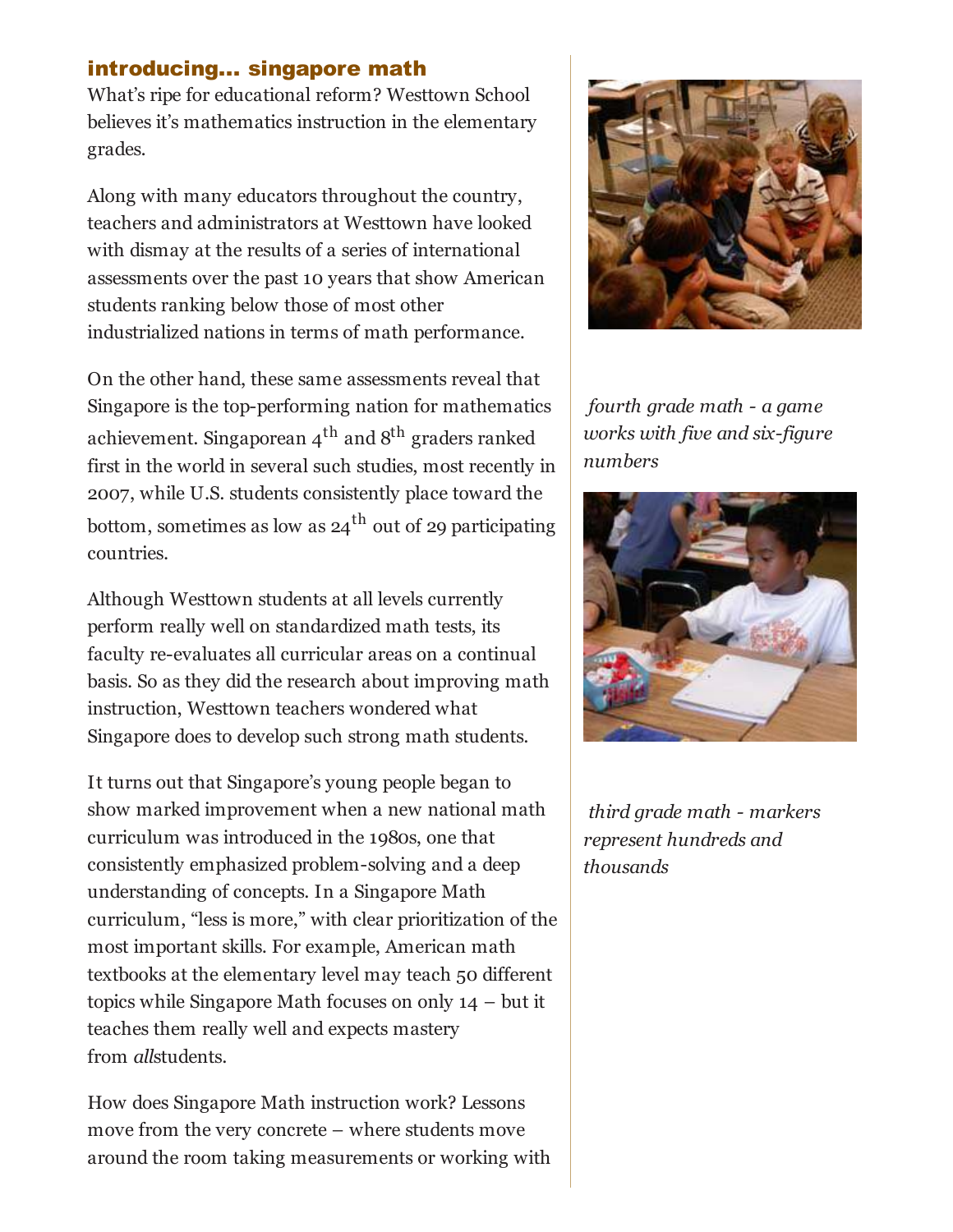## introducing... singapore math

What's ripe for educational reform? Westtown School believes it's mathematics instruction in the elementary grades.

Along with many educators throughout the country, teachers and administrators at Westtown have looked with dismay at the results of a series of international assessments over the past 10 years that show American students ranking below those of most other industrialized nations in terms of math performance.

On the other hand, these same assessments reveal that Singapore is the top-performing nation for mathematics achievement. Singaporean  $4^{th}$  and  $8^{th}$  graders ranked first in the world in several such studies, most recently in 2007, while U.S. students consistently place toward the bottom, sometimes as low as  $24<sup>th</sup>$  out of 29 participating countries.

Although Westtown students at all levels currently perform really well on standardized math tests, its faculty re-evaluates all curricular areas on a continual basis. So as they did the research about improving math instruction, Westtown teachers wondered what Singapore does to develop such strong math students.

It turns out that Singapore's young people began to show marked improvement when a new national math curriculum was introduced in the 1980s, one that consistently emphasized problem-solving and a deep understanding of concepts. In a Singapore Math curriculum, "less is more," with clear prioritization of the most important skills. For example, American math textbooks at the elementary level may teach 50 different topics while Singapore Math focuses on only 14 – but it teaches them really well and expects mastery from *allstudents*.

How does Singapore Math instruction work? Lessons move from the very concrete – where students move around the room taking measurements or working with



 fourth grade math - a game works with five and six-figure numbers



 third grade math - markers represent hundreds and thousands